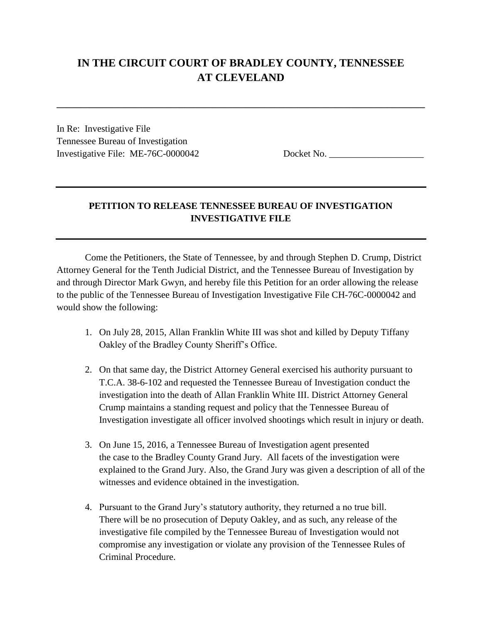# **IN THE CIRCUIT COURT OF BRADLEY COUNTY, TENNESSEE AT CLEVELAND**

**\_\_\_\_\_\_\_\_\_\_\_\_\_\_\_\_\_\_\_\_\_\_\_\_\_\_\_\_\_\_\_\_\_\_\_\_\_\_\_\_\_\_\_\_\_\_\_\_\_\_\_\_\_\_\_\_\_\_\_\_\_\_\_\_\_\_\_\_\_\_\_\_\_\_\_\_\_\_**

In Re: Investigative File Tennessee Bureau of Investigation Investigative File: ME-76C-0000042 Docket No.

### **PETITION TO RELEASE TENNESSEE BUREAU OF INVESTIGATION INVESTIGATIVE FILE**

Come the Petitioners, the State of Tennessee, by and through Stephen D. Crump, District Attorney General for the Tenth Judicial District, and the Tennessee Bureau of Investigation by and through Director Mark Gwyn, and hereby file this Petition for an order allowing the release to the public of the Tennessee Bureau of Investigation Investigative File CH-76C-0000042 and would show the following:

- 1. On July 28, 2015, Allan Franklin White III was shot and killed by Deputy Tiffany Oakley of the Bradley County Sheriff's Office.
- 2. On that same day, the District Attorney General exercised his authority pursuant to T.C.A. 38-6-102 and requested the Tennessee Bureau of Investigation conduct the investigation into the death of Allan Franklin White III. District Attorney General Crump maintains a standing request and policy that the Tennessee Bureau of Investigation investigate all officer involved shootings which result in injury or death.
- 3. On June 15, 2016, a Tennessee Bureau of Investigation agent presented the case to the Bradley County Grand Jury. All facets of the investigation were explained to the Grand Jury. Also, the Grand Jury was given a description of all of the witnesses and evidence obtained in the investigation.
- 4. Pursuant to the Grand Jury's statutory authority, they returned a no true bill. There will be no prosecution of Deputy Oakley, and as such, any release of the investigative file compiled by the Tennessee Bureau of Investigation would not compromise any investigation or violate any provision of the Tennessee Rules of Criminal Procedure.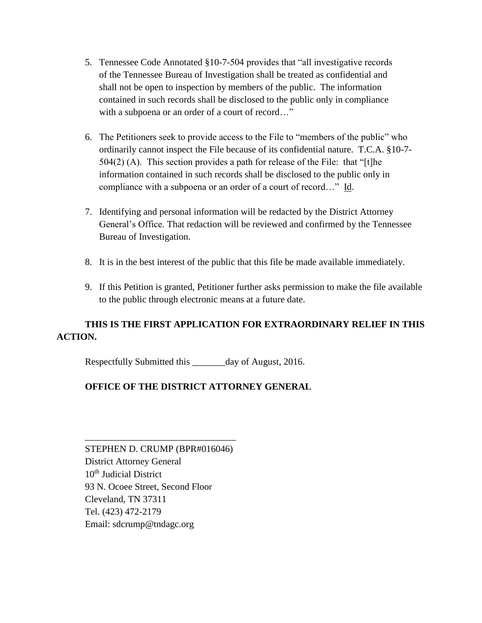- 5. Tennessee Code Annotated §10-7-504 provides that "all investigative records of the Tennessee Bureau of Investigation shall be treated as confidential and shall not be open to inspection by members of the public. The information contained in such records shall be disclosed to the public only in compliance with a subpoena or an order of a court of record…"
- 6. The Petitioners seek to provide access to the File to "members of the public" who ordinarily cannot inspect the File because of its confidential nature. T.C.A. §10-7- 504(2) (A). This section provides a path for release of the File: that "[t]he information contained in such records shall be disclosed to the public only in compliance with a subpoena or an order of a court of record…" Id.
- 7. Identifying and personal information will be redacted by the District Attorney General's Office. That redaction will be reviewed and confirmed by the Tennessee Bureau of Investigation.
- 8. It is in the best interest of the public that this file be made available immediately.
- 9. If this Petition is granted, Petitioner further asks permission to make the file available to the public through electronic means at a future date.

## **THIS IS THE FIRST APPLICATION FOR EXTRAORDINARY RELIEF IN THIS ACTION.**

Respectfully Submitted this \_\_\_\_\_\_\_day of August, 2016.

### **OFFICE OF THE DISTRICT ATTORNEY GENERAL**

STEPHEN D. CRUMP (BPR#016046) District Attorney General 10<sup>th</sup> Judicial District 93 N. Ocoee Street, Second Floor Cleveland, TN 37311 Tel. (423) 472-2179 Email: sdcrump@tndagc.org

\_\_\_\_\_\_\_\_\_\_\_\_\_\_\_\_\_\_\_\_\_\_\_\_\_\_\_\_\_\_\_\_